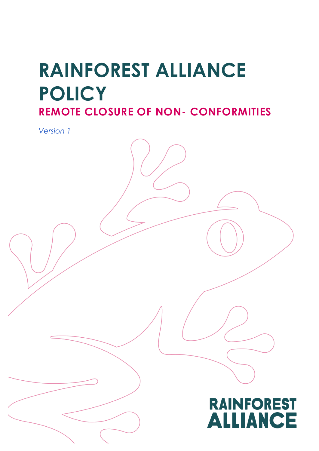# **RAINFOREST ALLIANCE POLICY**

**REMOTE CLOSURE OF NON- CONFORMITIES**

*Version 1*

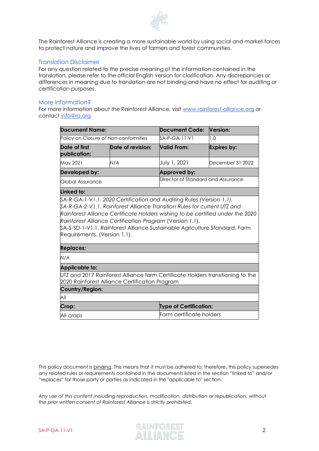

The Rainforest Alliance is creating a more sustainable world by using social and market forces to protect nature and improve the lives of farmers and forest communities.

#### Translation Disclaimer

For any question related to the precise meaning of the information contained in the translation, please refer to the official English version for clarification. Any discrepancies or differences in meaning due to translation are not binding and have no effect for auditing or certification purposes.

#### More information?

For more information about the Rainforest Alliance, visit [www.rainforest-alliance.org](http://www.rainforest-alliance.org/) or contact [info@ra.org](mailto:info@ra.org)

| <b>Document Name:</b>                                                                                                                                                   |                          | <b>Document Code:</b>              | Version:           |  |  |
|-------------------------------------------------------------------------------------------------------------------------------------------------------------------------|--------------------------|------------------------------------|--------------------|--|--|
| Policy on Closure of Non-conformities                                                                                                                                   |                          | SA-P-GA-11-V1                      | 1.0                |  |  |
| Date of first<br>publication:                                                                                                                                           | Date of revision:        | <b>Valid From:</b>                 | <b>Expires by:</b> |  |  |
| May 2021                                                                                                                                                                | N/A                      | July 1, 2021                       | December 31 2022   |  |  |
| Developed by:                                                                                                                                                           |                          | Approved by:                       |                    |  |  |
| Global Assurance                                                                                                                                                        |                          | Director of Standard and Assurance |                    |  |  |
| Linked to:                                                                                                                                                              |                          |                                    |                    |  |  |
| Rainforest Alliance Certification Program (Version 1.1).<br>\$A-S-SD-1-V1.1. Rainforest Alliance Sustainable Agriculture Standard. Farm<br>Requirements. (Version 1.1). |                          |                                    |                    |  |  |
| <b>Replaces:</b>                                                                                                                                                        |                          |                                    |                    |  |  |
| N/A                                                                                                                                                                     |                          |                                    |                    |  |  |
| <b>Applicable to:</b>                                                                                                                                                   |                          |                                    |                    |  |  |
| UTZ and 2017 Rainforest Alliance farm Certificate Holders transitioning to the<br>2020 Rainforest Alliance Certification Program                                        |                          |                                    |                    |  |  |
| Country/Region:                                                                                                                                                         |                          |                                    |                    |  |  |
| All                                                                                                                                                                     |                          |                                    |                    |  |  |
| Crop:                                                                                                                                                                   |                          | <b>Type of Certification:</b>      |                    |  |  |
| All crops                                                                                                                                                               | Farm certificate holders |                                    |                    |  |  |

This policy document is binding. This means that it must be adhered to; therefore, this policy supersedes any related rules or requirements contained in the documents listed in the section "linked to" and/or "replaces" for those party or parties as indicated in the "applicable to" section.

*Any use of this content including reproduction, modification, distribution or republication, without the prior written consent of Rainforest Alliance is strictly prohibited.*



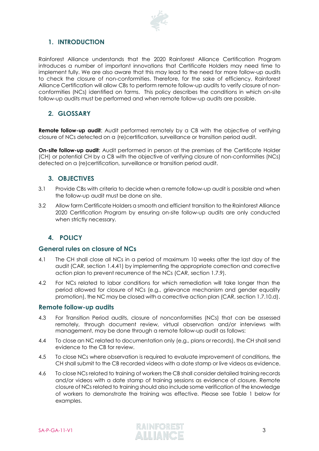

# **1. INTRODUCTION**

Rainforest Alliance understands that the 2020 Rainforest Alliance Certification Program introduces a number of important innovations that Certificate Holders may need time to implement fully. We are also aware that this may lead to the need for more follow-up audits to check the closure of non-conformities. Therefore, for the sake of efficiency, Rainforest Alliance Certification will allow CBs to perform remote follow-up audits to verify closure of nonconformities (NCs) identified on farms. This policy describes the conditions in which on-site follow-up audits must be performed and when remote follow-up audits are possible.

## **2. GLOSSARY**

**Remote follow-up audit:** Audit performed remotely by a CB with the objective of verifying closure of NCs detected on a (re)certification, surveillance or transition period audit.

**On-site follow-up audit:** Audit performed in person at the premises of the Certificate Holder (CH) or potential CH by a CB with the objective of verifying closure of non-conformities (NCs) detected on a (re)certification, surveillance or transition period audit.

# **3. OBJECTIVES**

- 3.1 Provide CBs with criteria to decide when a remote follow-up audit is possible and when the follow-up audit must be done on site.
- 3.2 Allow farm Certificate Holders a smooth and efficient transition to the Rainforest Alliance 2020 Certification Program by ensuring on-site follow-up audits are only conducted when strictly necessary.

# **4. POLICY**

### **General rules on closure of NCs**

- 4.1 The CH shall close all NCs in a period of maximum 10 weeks after the last day of the audit (CAR, section 1.4.41) by implementing the appropriate correction and corrective action plan to prevent recurrence of the NCs (CAR, section 1.7.9).
- 4.2 For NCs related to labor conditions for which remediation will take longer than the period allowed for closure of NCs (e.g., grievance mechanism and gender equality promotion), the NC may be closed with a corrective action plan (CAR, section 1.7.10.d).

### **Remote follow-up audits**

- 4.3 For Transition Period audits, closure of nonconformities (NCs) that can be assessed remotely, through document review, virtual observation and/or interviews with management, may be done through a remote follow-up audit as follows:
- 4.4 To close an NC related to documentation only (e.g., plans or records), the CH shall send evidence to the CB for review.
- 4.5 To close NCs where observation is required to evaluate improvement of conditions, the CH shall submit to the CB recorded videos with a date stamp or live videos as evidence.
- 4.6 To close NCs related to training of workers the CB shall consider detailed training records and/or videos with a date stamp of training sessions as evidence of closure. Remote closure of NCs related to training should also include some verification of the knowledge of workers to demonstrate the training was effective. Please see Table 1 below for examples.

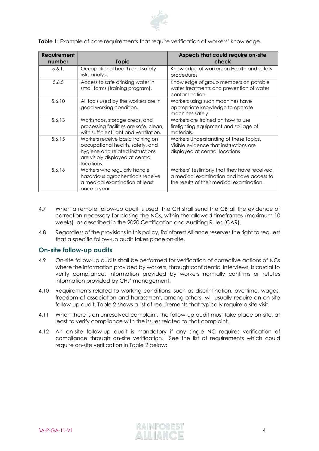

Table 1: Example of core requirements that require verification of workers' knowledge.

| Requirement |                                                                                                                                                             | Aspects that could require on-site                                                                                                  |  |
|-------------|-------------------------------------------------------------------------------------------------------------------------------------------------------------|-------------------------------------------------------------------------------------------------------------------------------------|--|
| number      | <b>Topic</b>                                                                                                                                                | check                                                                                                                               |  |
| 5.6.1.      | Occupational health and safety<br>risks analysis                                                                                                            | Knowledge of workers on Health and safety<br>procedures                                                                             |  |
| 5.6.5       | Access to safe drinking water in<br>small farms (training program).                                                                                         | Knowledge of group members on potable<br>water treatments and prevention of water<br>contamination.                                 |  |
| 5.6.10      | All tools used by the workers are in<br>good working condition.                                                                                             | Workers using such machines have<br>appropriate knowledge to operate<br>machines safely                                             |  |
| 5.6.13      | Workshops, storage areas, and<br>processing facilities are safe, clean,<br>with sufficient light and ventilation.                                           | Workers are trained on how to use<br>firefighting equipment and spillage of<br>materials.                                           |  |
| 5.6.15      | Workers receive basic training on<br>occupational health, safety, and<br>hygiene and related instructions<br>are visibly displayed at central<br>locations. | Workers Understanding of these topics.<br>Visible evidence that instructions are<br>displayed at central locations                  |  |
| 5.6.16      | Workers who regularly handle<br>hazardous agrochemicals receive<br>a medical examination at least<br>once a year.                                           | Workers' testimony that they have received<br>a medical examination and have access to<br>the results of their medical examination. |  |

- 4.7 When a remote follow-up audit is used, the CH shall send the CB all the evidence of correction necessary for closing the NCs, within the allowed timeframes (maximum 10 weeks), as described in the 2020 Certification and Auditing Rules (CAR).
- 4.8 Regardless of the provisions in this policy, Rainforest Alliance reserves the right to request that a specific follow-up audit takes place on-site.

#### **On-site follow-up audits**

- 4.9 On-site follow-up audits shall be performed for verification of corrective actions of NCs where the information provided by workers, through confidential interviews, is crucial to verify compliance. Information provided by workers normally confirms or refutes information provided by CHs' management.
- 4.10 Requirements related to working conditions, such as discrimination, overtime, wages, freedom of association and harassment, among others, will usually require an on-site follow-up audit. Table 2 shows a list of requirements that typically require a site visit.
- 4.11 When there is an unresolved complaint, the follow-up audit must take place on-site, at least to verify compliance with the issues related to that complaint.
- 4.12 An on-site follow-up audit is mandatory if any single NC requires verification of compliance through on-site verification. See the list of requirements which could require on-site verification in Table 2 below:

SA-P-GA-11-V1 **RAINFOREST** 4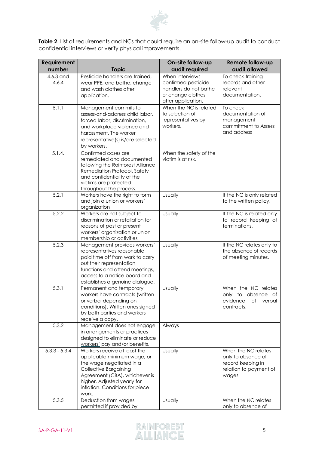

**Table 2.** List of requirements and NCs that could require an on-site follow-up audit to conduct confidential interviews or verify physical improvements.

| <b>Requirement</b><br>number | <b>Topic</b>                                                                                                                                                                                                                        | On-site follow-up<br>audit required                                                                        | Remote follow-up<br>audit allowed                                                                 |
|------------------------------|-------------------------------------------------------------------------------------------------------------------------------------------------------------------------------------------------------------------------------------|------------------------------------------------------------------------------------------------------------|---------------------------------------------------------------------------------------------------|
| 4.6.3 and<br>4.6.4           | Pesticide handlers are trained,<br>wear PPE, and bathe, change<br>and wash clothes after<br>application.                                                                                                                            | When interviews<br>confirmed pesticide<br>handlers do not bathe<br>or change clothes<br>after application. | To check training<br>records and other<br>relevant<br>documentation.                              |
| 5.1.1                        | Management commits to<br>assess-and-address child labor,<br>forced labor, discrimination,<br>and workplace violence and<br>harassment. The worker<br>representative(s) is/are selected<br>by workers.                               | When the NC is related<br>to selection of<br>representatives by<br>workers.                                | To check<br>documentation of<br>management<br>commitment to Assess<br>and address                 |
| 5.1.4.                       | Confirmed cases are<br>remediated and documented<br>following the Rainforest Alliance<br>Remediation Protocol. Safety<br>and confidentiality of the<br>victims are protected<br>throughout the process.                             | When the safety of the<br>victim is at risk.                                                               |                                                                                                   |
| $\overline{5.2.1}$           | Workers have the right to form<br>and join a union or workers'<br>organization                                                                                                                                                      | Usually                                                                                                    | If the NC is only related<br>to the written policy.                                               |
| 5.2.2                        | Workers are not subject to<br>discrimination or retaliation for<br>reasons of past or present<br>workers' organization or union<br>membership or activities                                                                         | <b>Usually</b>                                                                                             | If the NC is related only<br>to record keeping of<br>terminations.                                |
| 5.2.3                        | Management provides workers'<br>representatives reasonable<br>paid time off from work to carry<br>out their representation<br>functions and attend meetings,<br>access to a notice board and<br>establishes a genuine dialogue.     | Usually                                                                                                    | If the NC relates only to<br>the absence of records<br>of meeting minutes.                        |
| 5.3.1                        | Permanent and temporary<br>workers have contracts (written<br>or verbal depending on<br>conditions). Written ones signed<br>by both parties and workers<br>receive a copy.                                                          | Usually                                                                                                    | When the NC relates<br>only to absence of<br>evidence<br>Оf<br>verbal<br>contracts.               |
| 5.3.2                        | Management does not engage<br>in arrangements or practices<br>designed to eliminate or reduce<br>workers' pay and/or benefits.                                                                                                      | Always                                                                                                     |                                                                                                   |
| $5.3.3 - 5.3.4$              | Workers receive at least the<br>applicable minimum wage, or<br>the wage negotiated in a<br><b>Collective Bargaining</b><br>Agreement (CBA), whichever is<br>higher. Adjusted yearly for<br>inflation. Conditions for piece<br>work. | Usually                                                                                                    | When the NC relates<br>only to absence of<br>record keeping in<br>relation to payment of<br>wages |
| 5.3.5                        | Deduction from wages<br>permitted if provided by                                                                                                                                                                                    | Usually                                                                                                    | When the NC relates<br>only to absence of                                                         |